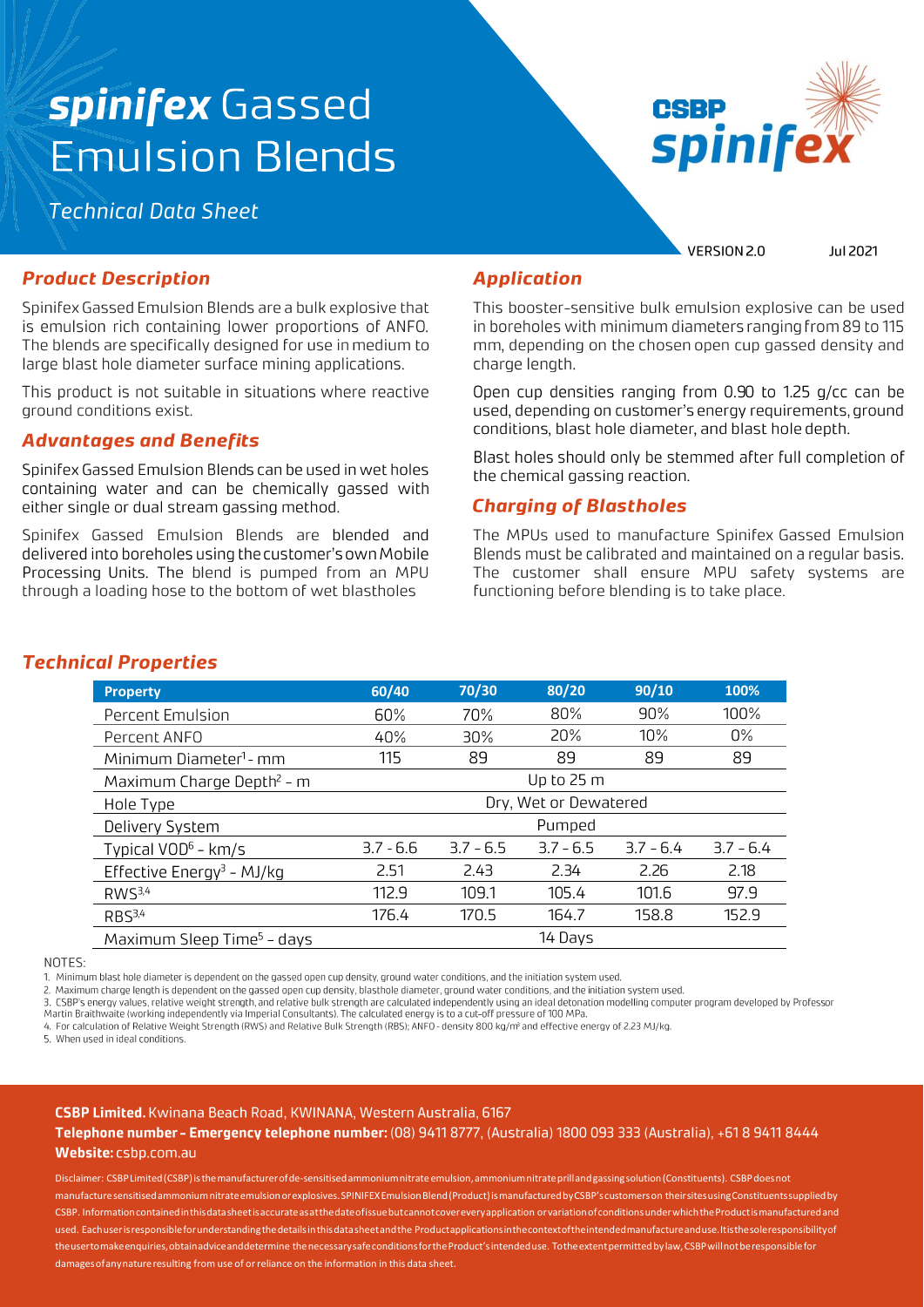# spinifex Gassed **Emulsion Blends**

**Technical Data Sheet** 



VERSION 2.0

Jul 2021

#### **Product Description**

Spinifex Gassed Emulsion Blends are a bulk explosive that is emulsion rich containing lower proportions of ANFO. The blends are specifically designed for use in medium to large blast hole diameter surface mining applications.

This product is not suitable in situations where reactive ground conditions exist.

## **Advantages and Benefits**

Spinifex Gassed Emulsion Blends can be used in wet holes containing water and can be chemically gassed with either single or dual stream gassing method.

Spinifex Gassed Emulsion Blends are blended and delivered into boreholes using the customer's own Mobile Processing Units. The blend is pumped from an MPU through a loading hose to the bottom of wet blastholes

#### **Application**

This booster-sensitive bulk emulsion explosive can be used in boreholes with minimum diameters ranging from 89 to 115 mm, depending on the chosen open cup gassed density and charge length.

Open cup densities ranging from 0.90 to 1.25 g/cc can be used, depending on customer's energy requirements, ground conditions, blast hole diameter, and blast hole depth.

Blast holes should only be stemmed after full completion of the chemical gassing reaction.

#### **Charging of Blastholes**

The MPUs used to manufacture Spinifex Gassed Emulsion Blends must be calibrated and maintained on a regular basis. The customer shall ensure MPU safety systems are functioning before blending is to take place.

| <b>Property</b>                        | 60/40                 | 70/30       | 80/20       | 90/10       | 100%        |  |
|----------------------------------------|-----------------------|-------------|-------------|-------------|-------------|--|
| Percent Emulsion                       | 60%                   | 70%         | 80%         | 90%         | 100%        |  |
| Percent ANFO                           | 40%                   | 30%         | 20%         | 10%         | $0\%$       |  |
| Minimum Diameter <sup>1</sup> - mm     | 115                   | 89          | 89          | 89          | 89          |  |
| Maximum Charge Depth <sup>2</sup> - m  |                       |             | Up to 25 m  |             |             |  |
| Hole Type                              | Dry, Wet or Dewatered |             |             |             |             |  |
| Delivery System                        | Pumped                |             |             |             |             |  |
| Typical $VOD6$ - km/s                  | $3.7 - 6.6$           | $3.7 - 6.5$ | $3.7 - 6.5$ | $3.7 - 6.4$ | $3.7 - 6.4$ |  |
| Effective Energy <sup>3</sup> - MJ/kg  | 2.51                  | 2.43        | 2.34        | 2.26        | 2.18        |  |
| RWS <sup>3,4</sup>                     | 112.9                 | 109.1       | 105.4       | 101.6       | 97.9        |  |
| RBS <sup>3,4</sup>                     | 176.4                 | 170.5       | 164.7       | 158.8       | 152.9       |  |
| Maximum Sleep Time <sup>5</sup> – days |                       |             | 14 Days     |             |             |  |

#### **Technical Properties**

NOTES:

1. Minimum blast hole diameter is dependent on the gassed open cup density, ground water conditions, and the initiation system used.

. Maximum charge length is dependent on the gassed open cup density, blasthole diameter, ground water conditions, and the initiation system used.  $\overline{c}$ 

CSBP's energy values, relative weight strength, and relative bulk strength are calculated independently using an ideal detonation modelling computer program developed by Professor

Martin Braithwaite (working independently via Imperial Consultants). The calculated energy is to a cut-off pressure of 100 MPa 4. For calculation of Relative Weight Strength (RWS) and Relative Bulk Strength (RBS); ANFO - density 800 kg/m<sup>3</sup> and effective energy of 2.23 MJ/kg.

5. When used in ideal conditions.

#### CSBP Limited. Kwinana Beach Road, KWINANA, Western Australia, 6167

Telephone number - Emergency telephone number: (08) 9411 8777, (Australia) 1800 093 333 (Australia), +61 8 9411 8444 Website: csbp.com.au

Disclaimer: CSBP Limited (CSBP) is the manufacturer of de-sensitised ammonium nitrate emulsion, ammonium nitrate prill and gassing solution (Constituents). CSBP does not manufacture sensitised ammonium nitrate emulsion or explosives. SPINIFEX Emulsion Blend (Product) is manufactured by CSBP's customers on their sites using Constituents supplied by CSBP. Information contained in this data sheet is accurate as at the date of issue but cannot cover every application or variation of conditions under which the Product is manufactured and used. Each user is responsible for understanding the details in this data sheet and the Productapplications in the context of the intended manufacture and use. It is the sole responsibility of the user to make enquiries, obtainadvice and determine the necessary safe conditions for the Product's intended use. To the extent permitted by law, CSBP will not be responsible for damages of any nature resulting from use of or reliance on the information in this data sheet.